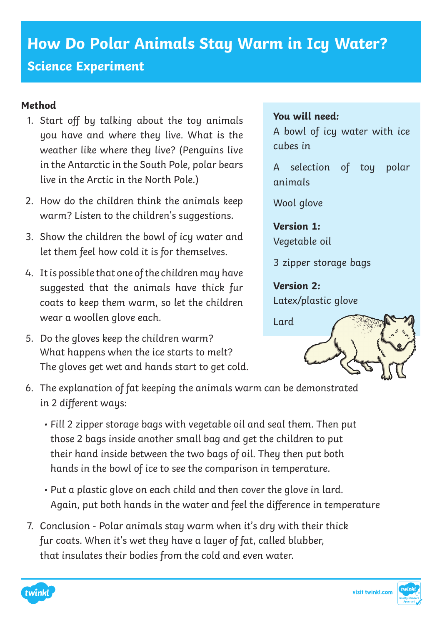## **How Do Polar Animals Stay Warm in Icy Water? Science Experiment**

## **Method**

- 1. Start off by talking about the toy animals you have and where they live. What is the weather like where they live? (Penguins live in the Antarctic in the South Pole, polar bears live in the Arctic in the North Pole.)
- 2. How do the children think the animals keep warm? Listen to the children's suggestions.
- 3. Show the children the bowl of icy water and let them feel how cold it is for themselves.
- 4. It is possible that one of the children may have suggested that the animals have thick fur coats to keep them warm, so let the children wear a woollen glove each.
- 5. Do the gloves keep the children warm? What happens when the ice starts to melt? The gloves get wet and hands start to get cold.

## **You will need:**

A bowl of icy water with ice cubes in

A selection of toy polar animals

Wool glove

**Version 1:** Vegetable oil

3 zipper storage bags

**Version 2:** Latex/plastic glove



- 6. The explanation of fat keeping the animals warm can be demonstrated in 2 different ways:
	- Fill 2 zipper storage bags with vegetable oil and seal them. Then put those 2 bags inside another small bag and get the children to put their hand inside between the two bags of oil. They then put both hands in the bowl of ice to see the comparison in temperature.
	- Put a plastic glove on each child and then cover the glove in lard. Again, put both hands in the water and feel the difference in temperature
- 7. Conclusion Polar animals stay warm when it's dry with their thick fur coats. When it's wet they have a layer of fat, called blubber, that insulates their bodies from the cold and even water.